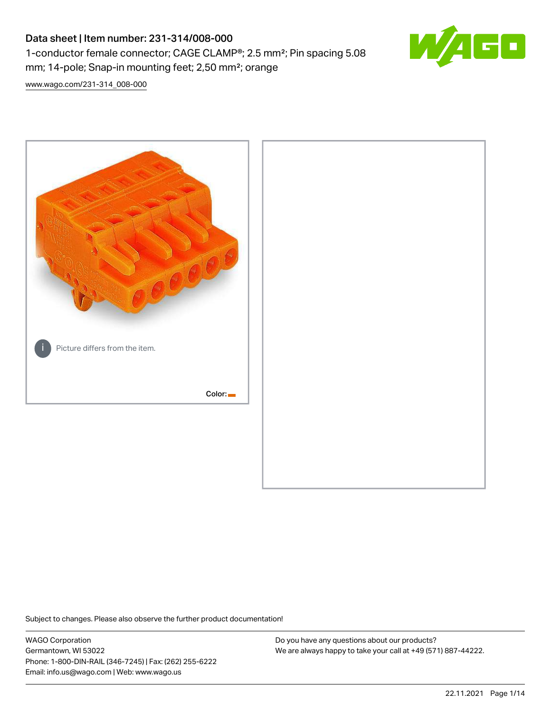# Data sheet | Item number: 231-314/008-000 1-conductor female connector; CAGE CLAMP®; 2.5 mm²; Pin spacing 5.08 mm; 14-pole; Snap-in mounting feet; 2,50 mm²; orange



[www.wago.com/231-314\\_008-000](http://www.wago.com/231-314_008-000)



Subject to changes. Please also observe the further product documentation!

WAGO Corporation Germantown, WI 53022 Phone: 1-800-DIN-RAIL (346-7245) | Fax: (262) 255-6222 Email: info.us@wago.com | Web: www.wago.us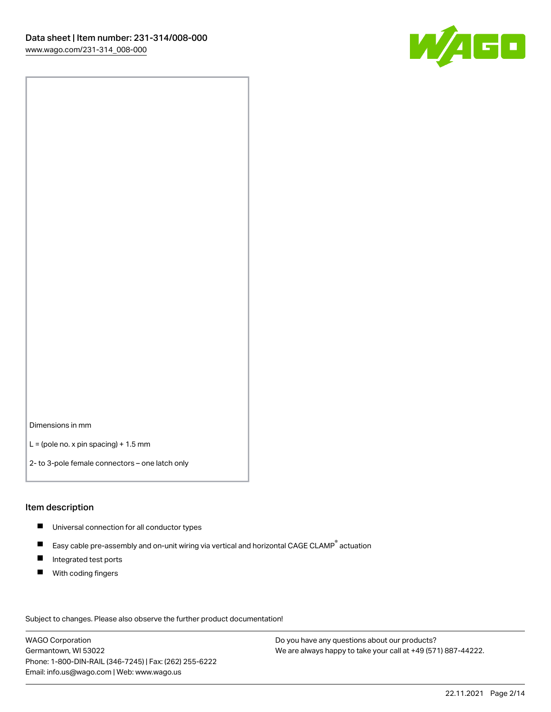

Dimensions in mm

 $L =$  (pole no. x pin spacing) + 1.5 mm

2- to 3-pole female connectors – one latch only

#### Item description

- **Universal connection for all conductor types**
- Easy cable pre-assembly and on-unit wiring via vertical and horizontal CAGE CLAMP<sup>®</sup> actuation  $\blacksquare$
- $\blacksquare$ Integrated test ports
- $\blacksquare$ With coding fingers

Subject to changes. Please also observe the further product documentation! Data

WAGO Corporation Germantown, WI 53022 Phone: 1-800-DIN-RAIL (346-7245) | Fax: (262) 255-6222 Email: info.us@wago.com | Web: www.wago.us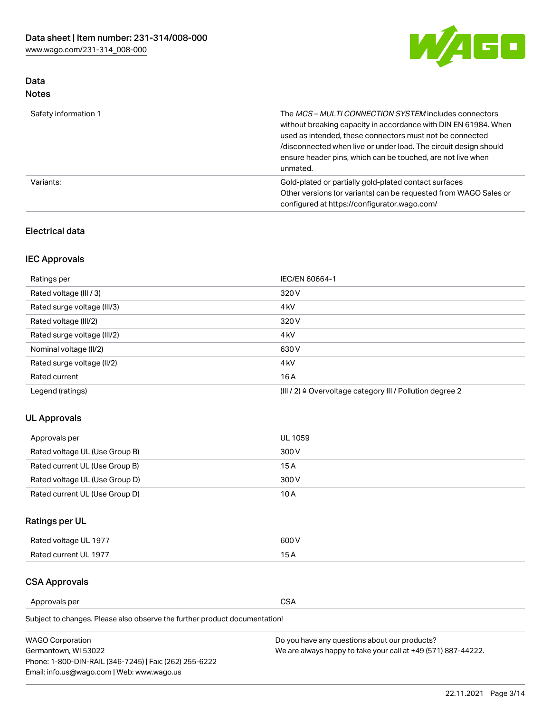

# Data Notes

| Safety information 1 | The MCS-MULTI CONNECTION SYSTEM includes connectors<br>without breaking capacity in accordance with DIN EN 61984. When<br>used as intended, these connectors must not be connected<br>/disconnected when live or under load. The circuit design should<br>ensure header pins, which can be touched, are not live when<br>unmated. |
|----------------------|-----------------------------------------------------------------------------------------------------------------------------------------------------------------------------------------------------------------------------------------------------------------------------------------------------------------------------------|
| Variants:            | Gold-plated or partially gold-plated contact surfaces<br>Other versions (or variants) can be requested from WAGO Sales or<br>configured at https://configurator.wago.com/                                                                                                                                                         |

# Electrical data

# IEC Approvals

| Ratings per                 | IEC/EN 60664-1                                                        |
|-----------------------------|-----------------------------------------------------------------------|
| Rated voltage (III / 3)     | 320 V                                                                 |
| Rated surge voltage (III/3) | 4 <sub>k</sub> V                                                      |
| Rated voltage (III/2)       | 320 V                                                                 |
| Rated surge voltage (III/2) | 4 <sub>k</sub> V                                                      |
| Nominal voltage (II/2)      | 630 V                                                                 |
| Rated surge voltage (II/2)  | 4 <sub>k</sub> V                                                      |
| Rated current               | 16A                                                                   |
| Legend (ratings)            | $(III / 2)$ $\triangle$ Overvoltage category III / Pollution degree 2 |

# UL Approvals

| Approvals per                  | UL 1059 |
|--------------------------------|---------|
| Rated voltage UL (Use Group B) | 300 V   |
| Rated current UL (Use Group B) | 15 A    |
| Rated voltage UL (Use Group D) | 300 V   |
| Rated current UL (Use Group D) | 10 A    |

# Ratings per UL

| Rated voltage UL 1977 | 600 V         |
|-----------------------|---------------|
| Rated current UL 1977 | $\sim$ $\sim$ |

# CSA Approvals

Approvals per CSA

Subject to changes. Please also observe the further product documentation!

| <b>WAGO Corporation</b>                                | Do you have any questions about our products?                 |
|--------------------------------------------------------|---------------------------------------------------------------|
| Germantown, WI 53022                                   | We are always happy to take your call at +49 (571) 887-44222. |
| Phone: 1-800-DIN-RAIL (346-7245)   Fax: (262) 255-6222 |                                                               |
| Email: info.us@wago.com   Web: www.wago.us             |                                                               |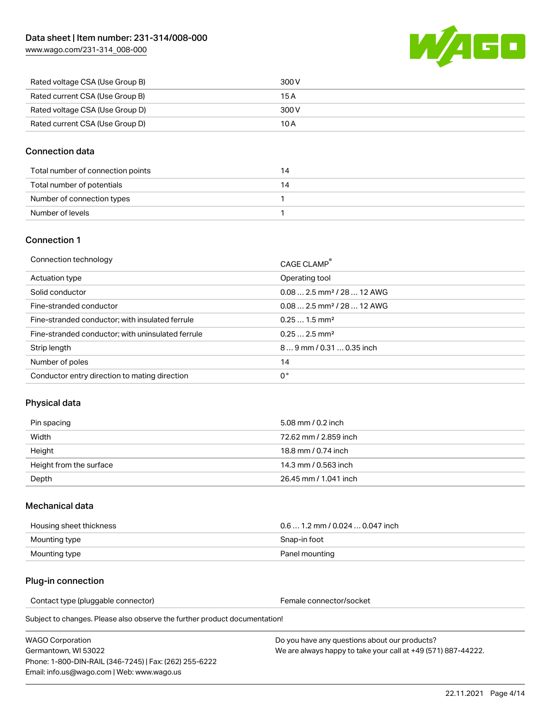[www.wago.com/231-314\\_008-000](http://www.wago.com/231-314_008-000)



| Rated voltage CSA (Use Group B) | 300 V |
|---------------------------------|-------|
| Rated current CSA (Use Group B) | 15 A  |
| Rated voltage CSA (Use Group D) | 300 V |
| Rated current CSA (Use Group D) | 10 A  |

## Connection data

| Total number of connection points |  |
|-----------------------------------|--|
| Total number of potentials        |  |
| Number of connection types        |  |
| Number of levels                  |  |

## Connection 1

| Connection technology                             | CAGE CLAMP®                            |
|---------------------------------------------------|----------------------------------------|
| Actuation type                                    | Operating tool                         |
| Solid conductor                                   | $0.082.5$ mm <sup>2</sup> / 28  12 AWG |
| Fine-stranded conductor                           | $0.082.5$ mm <sup>2</sup> / 28  12 AWG |
| Fine-stranded conductor; with insulated ferrule   | $0.251.5$ mm <sup>2</sup>              |
| Fine-stranded conductor; with uninsulated ferrule | $0.252.5$ mm <sup>2</sup>              |
| Strip length                                      | $89$ mm $/ 0.310.35$ inch              |
| Number of poles                                   | 14                                     |
| Conductor entry direction to mating direction     | 0°                                     |

# Physical data

| Pin spacing             | 5.08 mm / 0.2 inch    |
|-------------------------|-----------------------|
| Width                   | 72.62 mm / 2.859 inch |
| Height                  | 18.8 mm / 0.74 inch   |
| Height from the surface | 14.3 mm / 0.563 inch  |
| Depth                   | 26.45 mm / 1.041 inch |

## Mechanical data

| Housing sheet thickness | $0.61.2$ mm / 0.024  0.047 inch |
|-------------------------|---------------------------------|
| Mounting type           | Snap-in foot                    |
| Mounting type           | Panel mounting                  |

## Plug-in connection

Contact type (pluggable connector) example a set of the Female connector/socket

Subject to changes. Please also observe the further product documentation!

WAGO Corporation Germantown, WI 53022 Phone: 1-800-DIN-RAIL (346-7245) | Fax: (262) 255-6222 Email: info.us@wago.com | Web: www.wago.us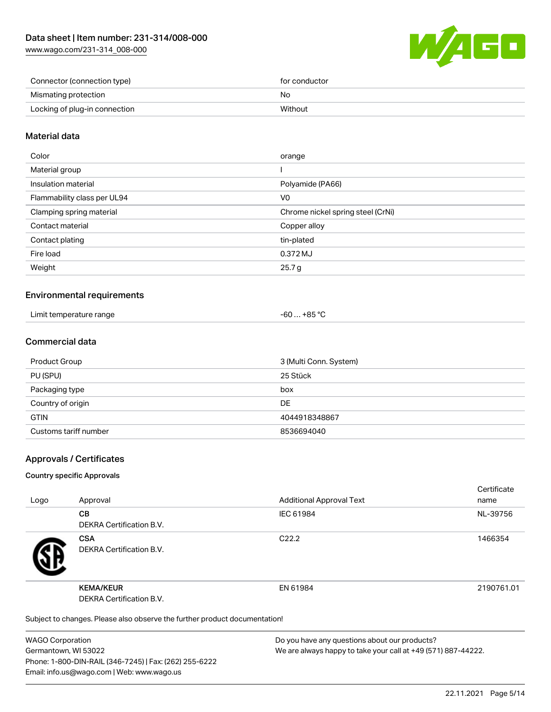[www.wago.com/231-314\\_008-000](http://www.wago.com/231-314_008-000)



| Connector (connection type)   | for conductor |
|-------------------------------|---------------|
| Mismating protection          | No            |
| Locking of plug-in connection | Without       |

## Material data

| Color                       | orange                            |
|-----------------------------|-----------------------------------|
| Material group              |                                   |
| Insulation material         | Polyamide (PA66)                  |
| Flammability class per UL94 | V0                                |
| Clamping spring material    | Chrome nickel spring steel (CrNi) |
| Contact material            | Copper alloy                      |
| Contact plating             | tin-plated                        |
| Fire load                   | 0.372 MJ                          |
| Weight                      | 25.7 g                            |
|                             |                                   |

## Environmental requirements

| Limit temperature range | $+85 °C$<br>-60 |  |
|-------------------------|-----------------|--|
|-------------------------|-----------------|--|

## Commercial data

| Product Group         | 3 (Multi Conn. System) |
|-----------------------|------------------------|
| PU (SPU)              | 25 Stück               |
| Packaging type        | box                    |
| Country of origin     | <b>DE</b>              |
| <b>GTIN</b>           | 4044918348867          |
| Customs tariff number | 8536694040             |

## Approvals / Certificates

#### Country specific Approvals

| Logo | Approval                                                                   | <b>Additional Approval Text</b> | Certificate<br>name |
|------|----------------------------------------------------------------------------|---------------------------------|---------------------|
|      | <b>CB</b><br><b>DEKRA Certification B.V.</b>                               | IEC 61984                       | NL-39756            |
|      | <b>CSA</b><br><b>DEKRA Certification B.V.</b>                              | C <sub>22.2</sub>               | 1466354             |
|      | <b>KEMA/KEUR</b><br><b>DEKRA Certification B.V.</b>                        | EN 61984                        | 2190761.01          |
|      | Subject to changes. Please also observe the further product documentation! |                                 |                     |

WAGO Corporation Germantown, WI 53022 Phone: 1-800-DIN-RAIL (346-7245) | Fax: (262) 255-6222 Email: info.us@wago.com | Web: www.wago.us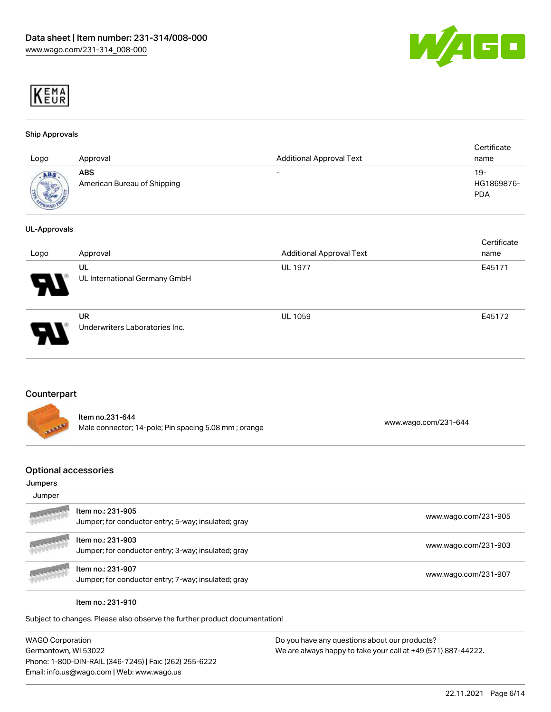



#### Ship Approvals

| Logo                       | Approval                                  | <b>Additional Approval Text</b> | Certificate<br>name             |
|----------------------------|-------------------------------------------|---------------------------------|---------------------------------|
| ABS<br><b>SECOND MARKS</b> | <b>ABS</b><br>American Bureau of Shipping | $\overline{\phantom{0}}$        | 19-<br>HG1869876-<br><b>PDA</b> |

#### UL-Approvals

| Logo                       | Approval                             | <b>Additional Approval Text</b> | Certificate<br>name |
|----------------------------|--------------------------------------|---------------------------------|---------------------|
| 8                          | UL<br>UL International Germany GmbH  | <b>UL 1977</b>                  | E45171              |
| $\boldsymbol{\mathcal{A}}$ | UR<br>Underwriters Laboratories Inc. | <b>UL 1059</b>                  | E45172              |

## Counterpart

|                | Item no.231-644                                      |                      |
|----------------|------------------------------------------------------|----------------------|
| <b>SEP RAP</b> | Male connector; 14-pole; Pin spacing 5.08 mm; orange | www.wago.com/231-644 |

## Optional accessories

#### Jumpers

| Jumper            |                                                                          |                      |
|-------------------|--------------------------------------------------------------------------|----------------------|
| <b>ANGELOR</b>    | Item no.: 231-905<br>Jumper; for conductor entry; 5-way; insulated; gray | www.wago.com/231-905 |
| <b>ANSWERPERS</b> | Item no.: 231-903<br>Jumper; for conductor entry; 3-way; insulated; gray | www.wago.com/231-903 |
| <b>ARANGERS</b>   | Item no.: 231-907<br>Jumper; for conductor entry; 7-way; insulated; gray | www.wago.com/231-907 |

#### Item no.: 231-910

Subject to changes. Please also observe the further product documentation!

| <b>WAGO Corporation</b>                                | Do y |
|--------------------------------------------------------|------|
| Germantown, WI 53022                                   | We a |
| Phone: 1-800-DIN-RAIL (346-7245)   Fax: (262) 255-6222 |      |
| Email: info.us@wago.com   Web: www.wago.us             |      |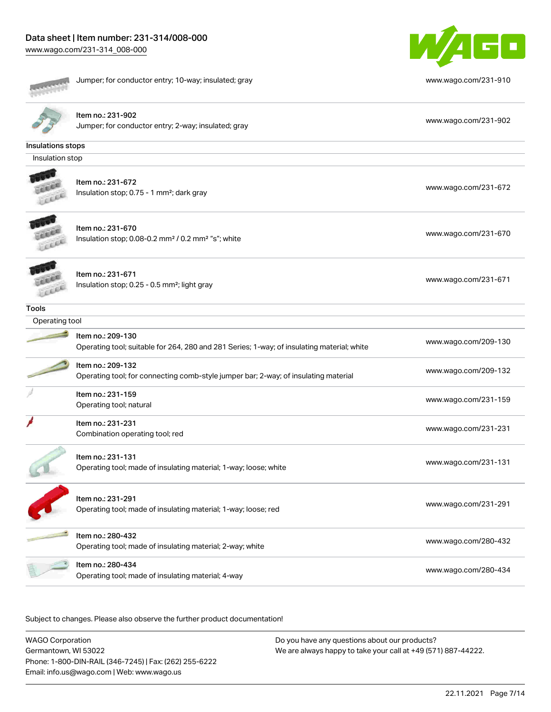

|                   | Jumper; for conductor entry; 10-way; insulated; gray                                                            | www.wago.com/231-910 |
|-------------------|-----------------------------------------------------------------------------------------------------------------|----------------------|
|                   | Item no.: 231-902<br>Jumper; for conductor entry; 2-way; insulated; gray                                        | www.wago.com/231-902 |
| Insulations stops |                                                                                                                 |                      |
| Insulation stop   |                                                                                                                 |                      |
|                   | Item no.: 231-672<br>Insulation stop; 0.75 - 1 mm <sup>2</sup> ; dark gray                                      | www.wago.com/231-672 |
|                   | Item no.: 231-670<br>Insulation stop; 0.08-0.2 mm <sup>2</sup> / 0.2 mm <sup>2</sup> "s"; white                 | www.wago.com/231-670 |
|                   | Item no.: 231-671<br>Insulation stop; 0.25 - 0.5 mm <sup>2</sup> ; light gray                                   | www.wago.com/231-671 |
| <b>Tools</b>      |                                                                                                                 |                      |
| Operating tool    |                                                                                                                 |                      |
|                   | Item no.: 209-130<br>Operating tool; suitable for 264, 280 and 281 Series; 1-way; of insulating material; white | www.wago.com/209-130 |
|                   | Item no.: 209-132<br>Operating tool; for connecting comb-style jumper bar; 2-way; of insulating material        | www.wago.com/209-132 |
|                   | Item no.: 231-159<br>Operating tool; natural                                                                    | www.wago.com/231-159 |
|                   | Item no.: 231-231<br>Combination operating tool; red                                                            | www.wago.com/231-231 |
|                   | Item no.: 231-131<br>Operating tool; made of insulating material; 1-way; loose; white                           | www.wago.com/231-131 |
|                   | Item no.: 231-291<br>Operating tool; made of insulating material; 1-way; loose; red                             | www.wago.com/231-291 |
|                   | Item no.: 280-432<br>Operating tool; made of insulating material; 2-way; white                                  | www.wago.com/280-432 |
|                   | Item no.: 280-434<br>Operating tool; made of insulating material; 4-way                                         | www.wago.com/280-434 |

Subject to changes. Please also observe the further product documentation!

WAGO Corporation Germantown, WI 53022 Phone: 1-800-DIN-RAIL (346-7245) | Fax: (262) 255-6222 Email: info.us@wago.com | Web: www.wago.us Do you have any questions about our products? We are always happy to take your call at +49 (571) 887-44222.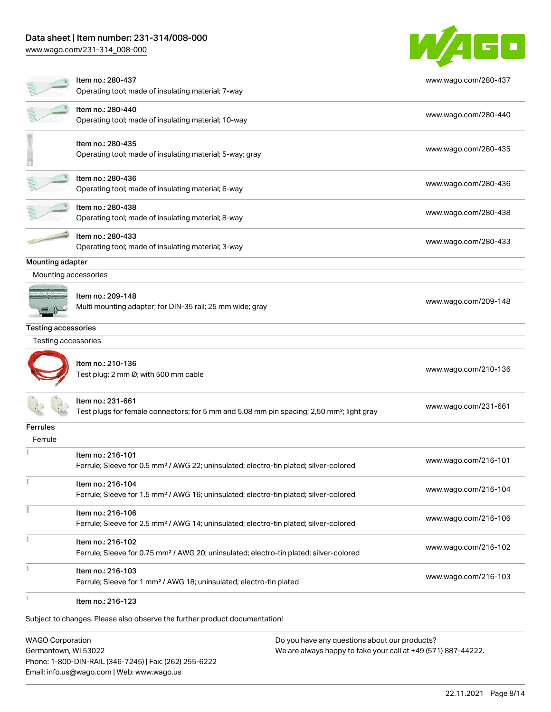## Data sheet | Item number: 231-314/008-000

[www.wago.com/231-314\\_008-000](http://www.wago.com/231-314_008-000)



Subject to changes. Please also observe the further product documentation!

WAGO Corporation Germantown, WI 53022 Phone: 1-800-DIN-RAIL (346-7245) | Fax: (262) 255-6222 Email: info.us@wago.com | Web: www.wago.us



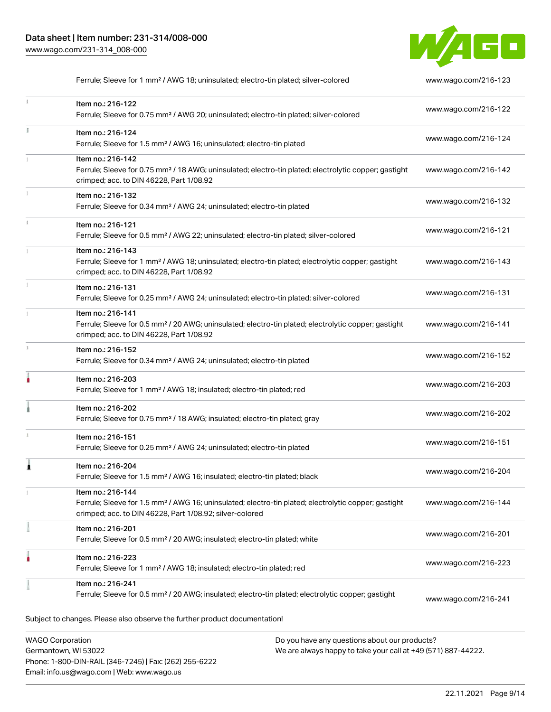Phone: 1-800-DIN-RAIL (346-7245) | Fax: (262) 255-6222

Email: info.us@wago.com | Web: www.wago.us



Ferrule; Sleeve for 1 mm² / AWG 18; uninsulated; electro-tin plated; silver-colored [www.wago.com/216-123](http://www.wago.com/216-123)

|    | Item no.: 216-122<br>Ferrule; Sleeve for 0.75 mm <sup>2</sup> / AWG 20; uninsulated; electro-tin plated; silver-colored                                                                           | www.wago.com/216-122 |
|----|---------------------------------------------------------------------------------------------------------------------------------------------------------------------------------------------------|----------------------|
| I. | Item no.: 216-124<br>Ferrule; Sleeve for 1.5 mm <sup>2</sup> / AWG 16; uninsulated; electro-tin plated                                                                                            | www.wago.com/216-124 |
|    | Item no.: 216-142<br>Ferrule; Sleeve for 0.75 mm <sup>2</sup> / 18 AWG; uninsulated; electro-tin plated; electrolytic copper; gastight<br>crimped; acc. to DIN 46228, Part 1/08.92                | www.wago.com/216-142 |
|    | Item no.: 216-132<br>Ferrule; Sleeve for 0.34 mm <sup>2</sup> / AWG 24; uninsulated; electro-tin plated                                                                                           | www.wago.com/216-132 |
|    | Item no.: 216-121<br>Ferrule; Sleeve for 0.5 mm <sup>2</sup> / AWG 22; uninsulated; electro-tin plated; silver-colored                                                                            | www.wago.com/216-121 |
|    | Item no.: 216-143<br>Ferrule; Sleeve for 1 mm <sup>2</sup> / AWG 18; uninsulated; electro-tin plated; electrolytic copper; gastight<br>crimped; acc. to DIN 46228, Part 1/08.92                   | www.wago.com/216-143 |
|    | Item no.: 216-131<br>Ferrule; Sleeve for 0.25 mm <sup>2</sup> / AWG 24; uninsulated; electro-tin plated; silver-colored                                                                           | www.wago.com/216-131 |
|    | Item no.: 216-141<br>Ferrule; Sleeve for 0.5 mm <sup>2</sup> / 20 AWG; uninsulated; electro-tin plated; electrolytic copper; gastight<br>crimped; acc. to DIN 46228, Part 1/08.92                 | www.wago.com/216-141 |
|    | Item no.: 216-152<br>Ferrule; Sleeve for 0.34 mm <sup>2</sup> / AWG 24; uninsulated; electro-tin plated                                                                                           | www.wago.com/216-152 |
| ٥  | Item no.: 216-203<br>Ferrule; Sleeve for 1 mm <sup>2</sup> / AWG 18; insulated; electro-tin plated; red                                                                                           | www.wago.com/216-203 |
|    | Item no.: 216-202<br>Ferrule; Sleeve for 0.75 mm <sup>2</sup> / 18 AWG; insulated; electro-tin plated; gray                                                                                       | www.wago.com/216-202 |
|    | Item no.: 216-151<br>Ferrule; Sleeve for 0.25 mm <sup>2</sup> / AWG 24; uninsulated; electro-tin plated                                                                                           | www.wago.com/216-151 |
|    | Item no.: 216-204<br>Ferrule; Sleeve for 1.5 mm <sup>2</sup> / AWG 16; insulated; electro-tin plated; black                                                                                       | www.wago.com/216-204 |
|    | Item no.: 216-144<br>Ferrule; Sleeve for 1.5 mm <sup>2</sup> / AWG 16; uninsulated; electro-tin plated; electrolytic copper; gastight<br>crimped; acc. to DIN 46228, Part 1/08.92; silver-colored | www.wago.com/216-144 |
|    | Item no.: 216-201<br>Ferrule; Sleeve for 0.5 mm <sup>2</sup> / 20 AWG; insulated; electro-tin plated; white                                                                                       | www.wago.com/216-201 |
|    | Item no.: 216-223<br>Ferrule; Sleeve for 1 mm <sup>2</sup> / AWG 18; insulated; electro-tin plated; red                                                                                           | www.wago.com/216-223 |
|    | Item no.: 216-241<br>Ferrule; Sleeve for 0.5 mm <sup>2</sup> / 20 AWG; insulated; electro-tin plated; electrolytic copper; gastight                                                               | www.wago.com/216-241 |
|    | Subject to changes. Please also observe the further product documentation!                                                                                                                        |                      |
|    | <b>WAGO Corporation</b><br>Do you have any questions about our products?<br>Germantown, WI 53022<br>We are always happy to take your call at +49 (571) 887-44222.                                 |                      |

22.11.2021 Page 9/14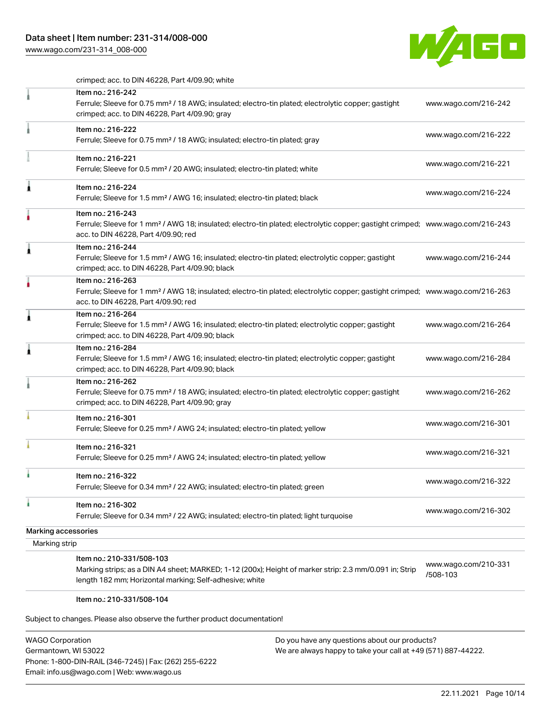# Data sheet | Item number: 231-314/008-000

[www.wago.com/231-314\\_008-000](http://www.wago.com/231-314_008-000)



crimped; acc. to DIN 46228, Part 4/09.90; white

| Item no.: 216-242<br>Ferrule; Sleeve for 0.75 mm <sup>2</sup> / 18 AWG; insulated; electro-tin plated; electrolytic copper; gastight<br>crimped; acc. to DIN 46228, Part 4/09.90; gray                  | www.wago.com/216-242             |
|---------------------------------------------------------------------------------------------------------------------------------------------------------------------------------------------------------|----------------------------------|
| Item no.: 216-222<br>Ferrule; Sleeve for 0.75 mm <sup>2</sup> / 18 AWG; insulated; electro-tin plated; gray                                                                                             | www.wago.com/216-222             |
| Item no.: 216-221<br>Ferrule; Sleeve for 0.5 mm <sup>2</sup> / 20 AWG; insulated; electro-tin plated; white                                                                                             | www.wago.com/216-221             |
| Â<br>Item no.: 216-224<br>Ferrule; Sleeve for 1.5 mm <sup>2</sup> / AWG 16; insulated; electro-tin plated; black                                                                                        | www.wago.com/216-224             |
| Item no.: 216-243<br>Ferrule; Sleeve for 1 mm <sup>2</sup> / AWG 18; insulated; electro-tin plated; electrolytic copper; gastight crimped; www.wago.com/216-243<br>acc. to DIN 46228, Part 4/09.90; red |                                  |
| Item no.: 216-244<br>Â<br>Ferrule; Sleeve for 1.5 mm <sup>2</sup> / AWG 16; insulated; electro-tin plated; electrolytic copper; gastight<br>crimped; acc. to DIN 46228, Part 4/09.90; black             | www.wago.com/216-244             |
| Item no.: 216-263<br>Ferrule; Sleeve for 1 mm <sup>2</sup> / AWG 18; insulated; electro-tin plated; electrolytic copper; gastight crimped; www.wago.com/216-263<br>acc. to DIN 46228, Part 4/09.90; red |                                  |
| Item no.: 216-264<br>Â<br>Ferrule; Sleeve for 1.5 mm <sup>2</sup> / AWG 16; insulated; electro-tin plated; electrolytic copper; gastight<br>crimped; acc. to DIN 46228, Part 4/09.90; black             | www.wago.com/216-264             |
| Item no.: 216-284<br>Â<br>Ferrule; Sleeve for 1.5 mm <sup>2</sup> / AWG 16; insulated; electro-tin plated; electrolytic copper; gastight<br>crimped; acc. to DIN 46228, Part 4/09.90; black             | www.wago.com/216-284             |
| Item no.: 216-262<br>Ferrule; Sleeve for 0.75 mm <sup>2</sup> / 18 AWG; insulated; electro-tin plated; electrolytic copper; gastight<br>crimped; acc. to DIN 46228, Part 4/09.90; gray                  | www.wago.com/216-262             |
| Item no.: 216-301<br>Ferrule; Sleeve for 0.25 mm <sup>2</sup> / AWG 24; insulated; electro-tin plated; yellow                                                                                           | www.wago.com/216-301             |
| Item no.: 216-321<br>Ferrule; Sleeve for 0.25 mm <sup>2</sup> / AWG 24; insulated; electro-tin plated; yellow                                                                                           | www.wago.com/216-321             |
| Item no.: 216-322<br>Ferrule; Sleeve for 0.34 mm <sup>2</sup> / 22 AWG; insulated; electro-tin plated; green                                                                                            | www.wago.com/216-322             |
| ۸<br>Item no.: 216-302<br>Ferrule; Sleeve for 0.34 mm <sup>2</sup> / 22 AWG; insulated; electro-tin plated; light turquoise                                                                             | www.wago.com/216-302             |
| Marking accessories                                                                                                                                                                                     |                                  |
| Marking strip                                                                                                                                                                                           |                                  |
| Item no.: 210-331/508-103<br>Marking strips; as a DIN A4 sheet; MARKED; 1-12 (200x); Height of marker strip: 2.3 mm/0.091 in; Strip<br>length 182 mm; Horizontal marking; Self-adhesive; white          | www.wago.com/210-331<br>/508-103 |

#### Item no.: 210-331/508-104

Subject to changes. Please also observe the further product documentation!

| <b>WAGO Corporation</b>                                |
|--------------------------------------------------------|
| Germantown, WI 53022                                   |
| Phone: 1-800-DIN-RAIL (346-7245)   Fax: (262) 255-6222 |
| Email: info.us@wago.com   Web: www.wago.us             |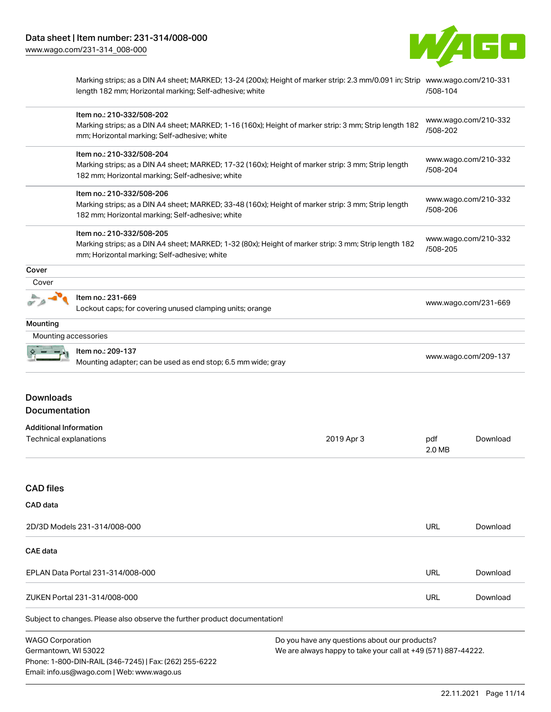Email: info.us@wago.com | Web: www.wago.us



Marking strips; as a DIN A4 sheet; MARKED; 13-24 (200x); Height of marker strip: 2.3 mm/0.091 in; Strip [www.wago.com/210-331](http://www.wago.com/210-331/508-104) length 182 mm; Horizontal marking; Self-adhesive; white [/508-104](http://www.wago.com/210-331/508-104)

|                                                                                                                                                                                                                             | Item no.: 210-332/508-202<br>Marking strips; as a DIN A4 sheet; MARKED; 1-16 (160x); Height of marker strip: 3 mm; Strip length 182<br>mm; Horizontal marking; Self-adhesive; white                                                                                                                                                                                          |            | /508-202                                                             | www.wago.com/210-332 |
|-----------------------------------------------------------------------------------------------------------------------------------------------------------------------------------------------------------------------------|------------------------------------------------------------------------------------------------------------------------------------------------------------------------------------------------------------------------------------------------------------------------------------------------------------------------------------------------------------------------------|------------|----------------------------------------------------------------------|----------------------|
|                                                                                                                                                                                                                             | Item no.: 210-332/508-204<br>Marking strips; as a DIN A4 sheet; MARKED; 17-32 (160x); Height of marker strip: 3 mm; Strip length<br>182 mm; Horizontal marking; Self-adhesive; white<br>Item no.: 210-332/508-206<br>Marking strips; as a DIN A4 sheet; MARKED; 33-48 (160x); Height of marker strip: 3 mm; Strip length<br>182 mm; Horizontal marking; Self-adhesive; white |            | www.wago.com/210-332<br>/508-204<br>www.wago.com/210-332<br>/508-206 |                      |
|                                                                                                                                                                                                                             |                                                                                                                                                                                                                                                                                                                                                                              |            |                                                                      |                      |
|                                                                                                                                                                                                                             | Item no.: 210-332/508-205<br>Marking strips; as a DIN A4 sheet; MARKED; 1-32 (80x); Height of marker strip: 3 mm; Strip length 182<br>mm; Horizontal marking; Self-adhesive; white                                                                                                                                                                                           |            | www.wago.com/210-332<br>/508-205                                     |                      |
| Cover                                                                                                                                                                                                                       |                                                                                                                                                                                                                                                                                                                                                                              |            |                                                                      |                      |
| Cover                                                                                                                                                                                                                       |                                                                                                                                                                                                                                                                                                                                                                              |            |                                                                      |                      |
|                                                                                                                                                                                                                             | Item no.: 231-669<br>Lockout caps; for covering unused clamping units; orange                                                                                                                                                                                                                                                                                                |            | www.wago.com/231-669                                                 |                      |
| Mounting                                                                                                                                                                                                                    |                                                                                                                                                                                                                                                                                                                                                                              |            |                                                                      |                      |
| Mounting accessories                                                                                                                                                                                                        |                                                                                                                                                                                                                                                                                                                                                                              |            |                                                                      |                      |
|                                                                                                                                                                                                                             | Item no.: 209-137<br>Mounting adapter; can be used as end stop; 6.5 mm wide; gray                                                                                                                                                                                                                                                                                            |            | www.wago.com/209-137                                                 |                      |
| <b>Downloads</b><br>Documentation                                                                                                                                                                                           |                                                                                                                                                                                                                                                                                                                                                                              |            |                                                                      |                      |
| <b>Additional Information</b>                                                                                                                                                                                               |                                                                                                                                                                                                                                                                                                                                                                              |            |                                                                      |                      |
| Technical explanations                                                                                                                                                                                                      |                                                                                                                                                                                                                                                                                                                                                                              | 2019 Apr 3 | pdf<br>2.0 MB                                                        | Download             |
| <b>CAD files</b>                                                                                                                                                                                                            |                                                                                                                                                                                                                                                                                                                                                                              |            |                                                                      |                      |
| CAD data                                                                                                                                                                                                                    |                                                                                                                                                                                                                                                                                                                                                                              |            |                                                                      |                      |
|                                                                                                                                                                                                                             | 2D/3D Models 231-314/008-000                                                                                                                                                                                                                                                                                                                                                 |            | <b>URL</b>                                                           | Download             |
| <b>CAE</b> data                                                                                                                                                                                                             |                                                                                                                                                                                                                                                                                                                                                                              |            |                                                                      |                      |
|                                                                                                                                                                                                                             | EPLAN Data Portal 231-314/008-000                                                                                                                                                                                                                                                                                                                                            |            | URL                                                                  | Download             |
|                                                                                                                                                                                                                             | ZUKEN Portal 231-314/008-000                                                                                                                                                                                                                                                                                                                                                 |            | URL                                                                  | Download             |
|                                                                                                                                                                                                                             | Subject to changes. Please also observe the further product documentation!                                                                                                                                                                                                                                                                                                   |            |                                                                      |                      |
| <b>WAGO Corporation</b><br>Do you have any questions about our products?<br>Germantown, WI 53022<br>We are always happy to take your call at +49 (571) 887-44222.<br>Phone: 1-800-DIN-RAIL (346-7245)   Fax: (262) 255-6222 |                                                                                                                                                                                                                                                                                                                                                                              |            |                                                                      |                      |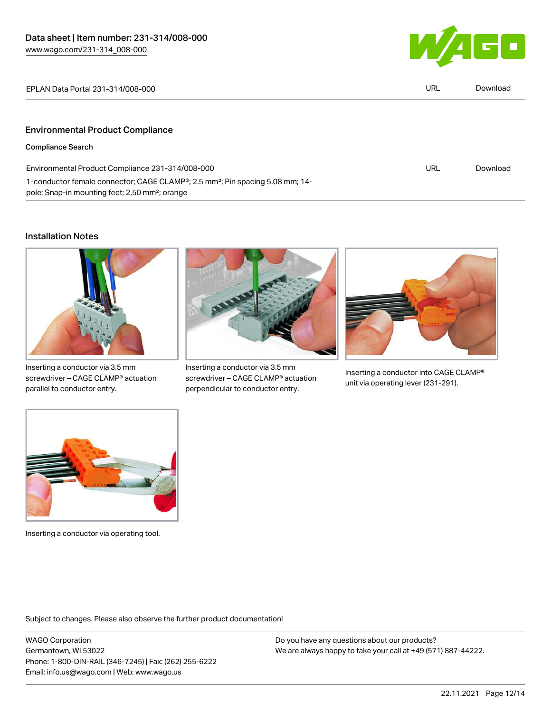1-conductor female connector; CAGE CLAMP®; 2.5 mm²; Pin spacing 5.08 mm; 14-



| EPLAN Data Portal 231-314/008-000                | URL | Download |
|--------------------------------------------------|-----|----------|
|                                                  |     |          |
| <b>Environmental Product Compliance</b>          |     |          |
| <b>Compliance Search</b>                         |     |          |
| Environmental Product Compliance 231-314/008-000 | URL | Download |

#### Installation Notes



pole; Snap-in mounting feet; 2,50 mm²; orange

Inserting a conductor via 3.5 mm screwdriver – CAGE CLAMP® actuation parallel to conductor entry.



Inserting a conductor via 3.5 mm screwdriver – CAGE CLAMP® actuation perpendicular to conductor entry.



Inserting a conductor into CAGE CLAMP® unit via operating lever (231-291).



Inserting a conductor via operating tool.

Subject to changes. Please also observe the further product documentation!

WAGO Corporation Germantown, WI 53022 Phone: 1-800-DIN-RAIL (346-7245) | Fax: (262) 255-6222 Email: info.us@wago.com | Web: www.wago.us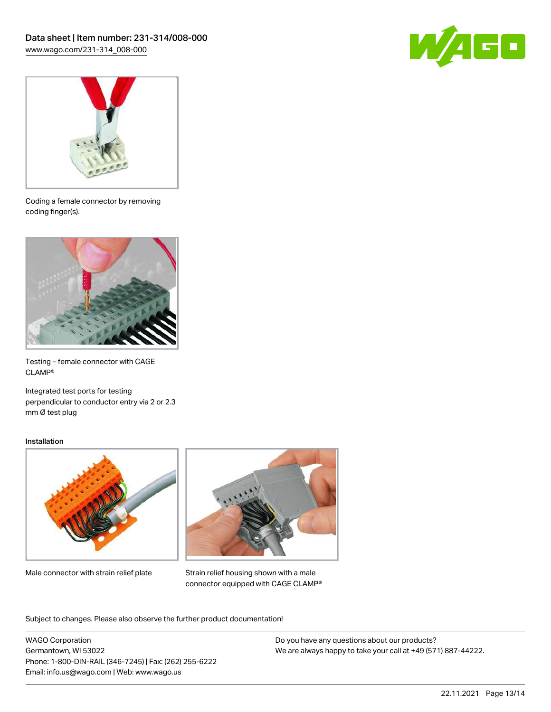



Coding a female connector by removing coding finger(s).



Testing – female connector with CAGE CLAMP®

Integrated test ports for testing perpendicular to conductor entry via 2 or 2.3 mm Ø test plug

#### Installation



Male connector with strain relief plate



Strain relief housing shown with a male connector equipped with CAGE CLAMP®

Subject to changes. Please also observe the further product documentation!

WAGO Corporation Germantown, WI 53022 Phone: 1-800-DIN-RAIL (346-7245) | Fax: (262) 255-6222 Email: info.us@wago.com | Web: www.wago.us